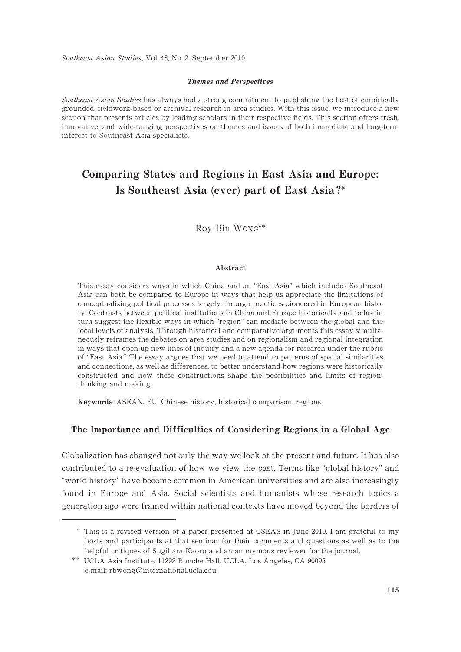Southeast Asian Studies, Vol. 48, No. 2, September 2010

### Themes and Perspectives

Southeast Asian Studies has always had a strong commitment to publishing the best of empirically grounded, fieldwork-based or archival research in area studies. With this issue, we introduce a new section that presents articles by leading scholars in their respective fields. This section offers fresh, innovative, and wide-ranging perspectives on themes and issues of both immediate and long-term interest to Southeast Asia specialists.

# Comparing States and Regions in East Asia and Europe: Is Southeast Asia (ever) part of East Asia ?\*

Roy Bin Wong\*\*

### Abstract

This essay considers ways in which China and an "East Asia" which includes Southeast Asia can both be compared to Europe in ways that help us appreciate the limitations of conceptualizing political processes largely through practices pioneered in European history. Contrasts between political institutions in China and Europe historically and today in turn suggest the flexible ways in which "region" can mediate between the global and the local levels of analysis. Through historical and comparative arguments this essay simultaneously reframes the debates on area studies and on regionalism and regional integration in ways that open up new lines of inquiry and a new agenda for research under the rubric of "East Asia." The essay argues that we need to attend to patterns of spatial similarities and connections, as well as differences, to better understand how regions were historically constructed and how these constructions shape the possibilities and limits of regionthinking and making.

Keywords: ASEAN, EU, Chinese history, historical comparison, regions

# The Importance and Difficulties of Considering Regions in a Global Age

Globalization has changed not only the way we look at the present and future. It has also contributed to a re-evaluation of how we view the past. Terms like "global history" and "world history" have become common in American universities and are also increasingly found in Europe and Asia. Social scientists and humanists whose research topics a generation ago were framed within national contexts have moved beyond the borders of

<sup>\*</sup> This is a revised version of a paper presented at CSEAS in June 2010. I am grateful to my hosts and participants at that seminar for their comments and questions as well as to the helpful critiques of Sugihara Kaoru and an anonymous reviewer for the journal.

<sup>\*\*</sup> UCLA Asia Institute, 11292 Bunche Hall, UCLA, Los Angeles, CA 90095 e-mail: rbwong@international.ucla.edu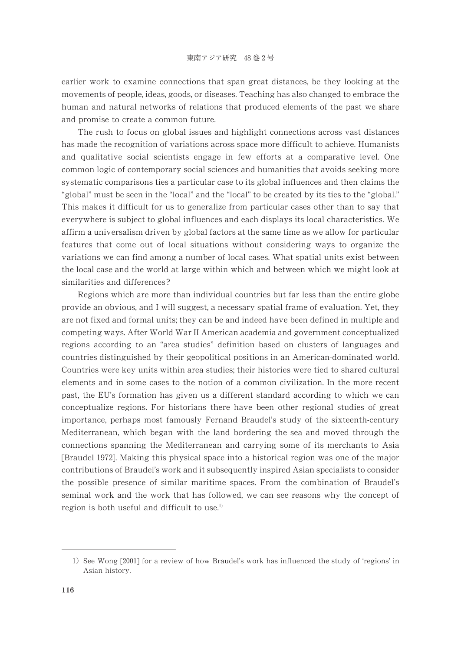earlier work to examine connections that span great distances, be they looking at the movements of people, ideas, goods, or diseases. Teaching has also changed to embrace the human and natural networks of relations that produced elements of the past we share and promise to create a common future.

The rush to focus on global issues and highlight connections across vast distances has made the recognition of variations across space more difficult to achieve. Humanists and qualitative social scientists engage in few efforts at a comparative level. One common logic of contemporary social sciences and humanities that avoids seeking more systematic comparisons ties a particular case to its global influences and then claims the "global" must be seen in the "local" and the "local" to be created by its ties to the "global." This makes it difficult for us to generalize from particular cases other than to say that everywhere is subject to global influences and each displays its local characteristics. We affirm a universalism driven by global factors at the same time as we allow for particular features that come out of local situations without considering ways to organize the variations we can find among a number of local cases. What spatial units exist between the local case and the world at large within which and between which we might look at similarities and differences ?

Regions which are more than individual countries but far less than the entire globe provide an obvious, and I will suggest, a necessary spatial frame of evaluation. Yet, they are not fixed and formal units; they can be and indeed have been defined in multiple and competing ways. After World War II American academia and government conceptualized regions according to an "area studies" definition based on clusters of languages and countries distinguished by their geopolitical positions in an American-dominated world. Countries were key units within area studies; their histories were tied to shared cultural elements and in some cases to the notion of a common civilization. In the more recent past, the EU's formation has given us a different standard according to which we can conceptualize regions. For historians there have been other regional studies of great importance, perhaps most famously Fernand Braudel's study of the sixteenth-century Mediterranean, which began with the land bordering the sea and moved through the connections spanning the Mediterranean and carrying some of its merchants to Asia [Braudel 1972]. Making this physical space into a historical region was one of the major contributions of Braudel's work and it subsequently inspired Asian specialists to consider the possible presence of similar maritime spaces. From the combination of Braudel's seminal work and the work that has followed, we can see reasons why the concept of region is both useful and difficult to use.<sup>1)</sup>

<sup>1)</sup> See Wong [2001] for a review of how Braudel's work has influenced the study of 'regions' in Asian history.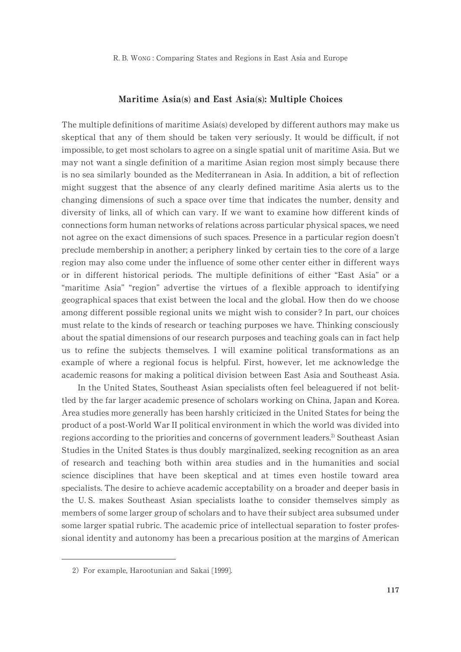### Maritime Asia(s) and East Asia(s): Multiple Choices

The multiple definitions of maritime Asia(s) developed by different authors may make us skeptical that any of them should be taken very seriously. It would be difficult, if not impossible, to get most scholars to agree on a single spatial unit of maritime Asia. But we may not want a single definition of a maritime Asian region most simply because there is no sea similarly bounded as the Mediterranean in Asia. In addition, a bit of reflection might suggest that the absence of any clearly defined maritime Asia alerts us to the changing dimensions of such a space over time that indicates the number, density and diversity of links, all of which can vary. If we want to examine how different kinds of connections form human networks of relations across particular physical spaces, we need not agree on the exact dimensions of such spaces. Presence in a particular region doesn't preclude membership in another; a periphery linked by certain ties to the core of a large region may also come under the influence of some other center either in different ways or in different historical periods. The multiple definitions of either "East Asia" or a "maritime Asia" "region" advertise the virtues of a flexible approach to identifying geographical spaces that exist between the local and the global. How then do we choose among different possible regional units we might wish to consider ? In part, our choices must relate to the kinds of research or teaching purposes we have. Thinking consciously about the spatial dimensions of our research purposes and teaching goals can in fact help us to refine the subjects themselves. I will examine political transformations as an example of where a regional focus is helpful. First, however, let me acknowledge the academic reasons for making a political division between East Asia and Southeast Asia.

In the United States, Southeast Asian specialists often feel beleaguered if not belittled by the far larger academic presence of scholars working on China, Japan and Korea. Area studies more generally has been harshly criticized in the United States for being the product of a post-World War II political environment in which the world was divided into regions according to the priorities and concerns of government leaders.<sup>2)</sup> Southeast Asian Studies in the United States is thus doubly marginalized, seeking recognition as an area of research and teaching both within area studies and in the humanities and social science disciplines that have been skeptical and at times even hostile toward area specialists. The desire to achieve academic acceptability on a broader and deeper basis in the U. S. makes Southeast Asian specialists loathe to consider themselves simply as members of some larger group of scholars and to have their subject area subsumed under some larger spatial rubric. The academic price of intellectual separation to foster professional identity and autonomy has been a precarious position at the margins of American

<sup>2)</sup> For example, Harootunian and Sakai [1999].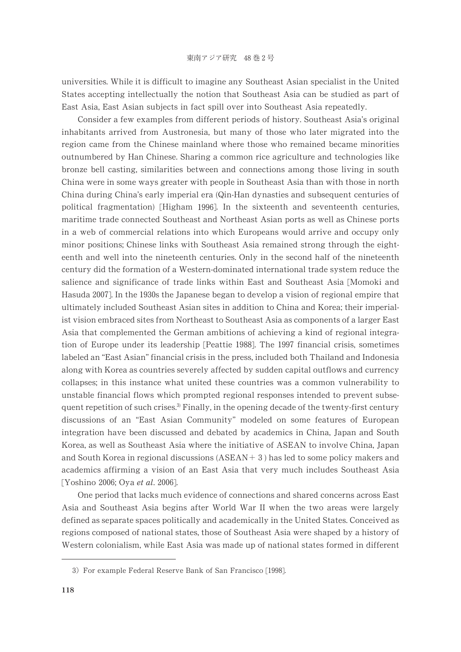universities. While it is difficult to imagine any Southeast Asian specialist in the United States accepting intellectually the notion that Southeast Asia can be studied as part of East Asia, East Asian subjects in fact spill over into Southeast Asia repeatedly.

Consider a few examples from different periods of history. Southeast Asia's original inhabitants arrived from Austronesia, but many of those who later migrated into the region came from the Chinese mainland where those who remained became minorities outnumbered by Han Chinese. Sharing a common rice agriculture and technologies like bronze bell casting, similarities between and connections among those living in south China were in some ways greater with people in Southeast Asia than with those in north China during China's early imperial era (Qin-Han dynasties and subsequent centuries of political fragmentation) [Higham 1996]. In the sixteenth and seventeenth centuries, maritime trade connected Southeast and Northeast Asian ports as well as Chinese ports in a web of commercial relations into which Europeans would arrive and occupy only minor positions; Chinese links with Southeast Asia remained strong through the eighteenth and well into the nineteenth centuries. Only in the second half of the nineteenth century did the formation of a Western-dominated international trade system reduce the salience and significance of trade links within East and Southeast Asia [Momoki and Hasuda 2007]. In the 1930s the Japanese began to develop a vision of regional empire that ultimately included Southeast Asian sites in addition to China and Korea; their imperialist vision embraced sites from Northeast to Southeast Asia as components of a larger East Asia that complemented the German ambitions of achieving a kind of regional integration of Europe under its leadership [Peattie 1988]. The 1997 financial crisis, sometimes labeled an "East Asian" financial crisis in the press, included both Thailand and Indonesia along with Korea as countries severely affected by sudden capital outflows and currency collapses; in this instance what united these countries was a common vulnerability to unstable financial flows which prompted regional responses intended to prevent subsequent repetition of such crises. $\delta$  Finally, in the opening decade of the twenty-first century discussions of an "East Asian Community" modeled on some features of European integration have been discussed and debated by academics in China, Japan and South Korea, as well as Southeast Asia where the initiative of ASEAN to involve China, Japan and South Korea in regional discussions  $(ASEAN + 3)$  has led to some policy makers and academics affirming a vision of an East Asia that very much includes Southeast Asia [Yoshino 2006; Oya et al. 2006].

One period that lacks much evidence of connections and shared concerns across East Asia and Southeast Asia begins after World War II when the two areas were largely defined as separate spaces politically and academically in the United States. Conceived as regions composed of national states, those of Southeast Asia were shaped by a history of Western colonialism, while East Asia was made up of national states formed in different

<sup>3)</sup> For example Federal Reserve Bank of San Francisco [1998].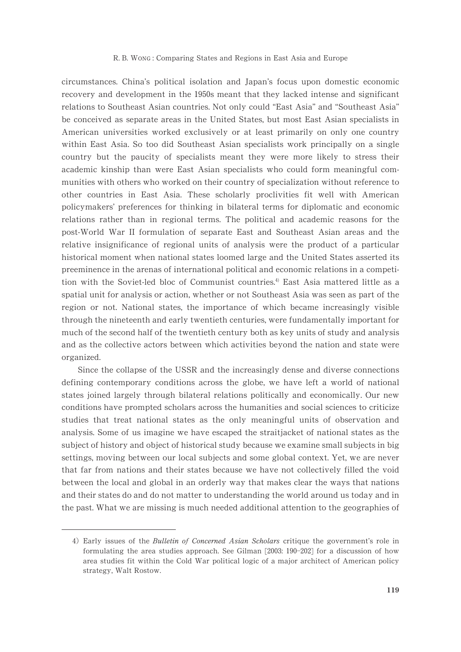circumstances. China's political isolation and Japan's focus upon domestic economic recovery and development in the 1950s meant that they lacked intense and significant relations to Southeast Asian countries. Not only could "East Asia" and "Southeast Asia" be conceived as separate areas in the United States, but most East Asian specialists in American universities worked exclusively or at least primarily on only one country within East Asia. So too did Southeast Asian specialists work principally on a single country but the paucity of specialists meant they were more likely to stress their academic kinship than were East Asian specialists who could form meaningful communities with others who worked on their country of specialization without reference to other countries in East Asia. These scholarly proclivities fit well with American policymakers' preferences for thinking in bilateral terms for diplomatic and economic relations rather than in regional terms. The political and academic reasons for the post-World War II formulation of separate East and Southeast Asian areas and the relative insignificance of regional units of analysis were the product of a particular historical moment when national states loomed large and the United States asserted its preeminence in the arenas of international political and economic relations in a competition with the Soviet-led bloc of Communist countries.<sup>4)</sup> East Asia mattered little as a spatial unit for analysis or action, whether or not Southeast Asia was seen as part of the region or not. National states, the importance of which became increasingly visible through the nineteenth and early twentieth centuries, were fundamentally important for much of the second half of the twentieth century both as key units of study and analysis and as the collective actors between which activities beyond the nation and state were organized.

Since the collapse of the USSR and the increasingly dense and diverse connections defining contemporary conditions across the globe, we have left a world of national states joined largely through bilateral relations politically and economically. Our new conditions have prompted scholars across the humanities and social sciences to criticize studies that treat national states as the only meaningful units of observation and analysis. Some of us imagine we have escaped the straitjacket of national states as the subject of history and object of historical study because we examine small subjects in big settings, moving between our local subjects and some global context. Yet, we are never that far from nations and their states because we have not collectively filled the void between the local and global in an orderly way that makes clear the ways that nations and their states do and do not matter to understanding the world around us today and in the past. What we are missing is much needed additional attention to the geographies of

<sup>4)</sup> Early issues of the *Bulletin of Concerned Asian Scholars* critique the government's role in formulating the area studies approach. See Gilman [2003: 190-202] for a discussion of how area studies fit within the Cold War political logic of a major architect of American policy strategy, Walt Rostow.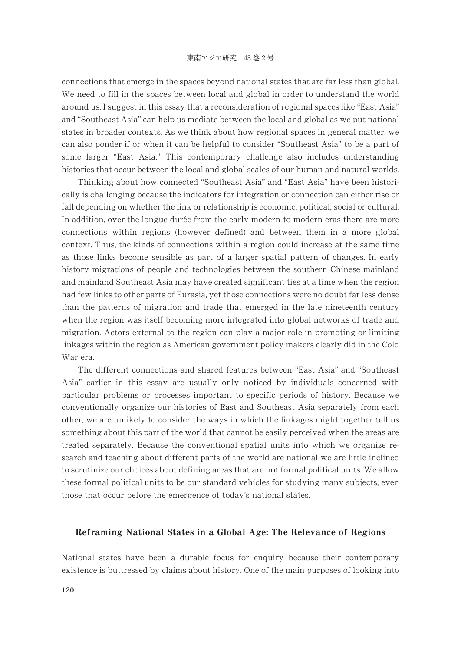connections that emerge in the spaces beyond national states that are far less than global. We need to fill in the spaces between local and global in order to understand the world around us. I suggest in this essay that a reconsideration of regional spaces like "East Asia" and "Southeast Asia" can help us mediate between the local and global as we put national states in broader contexts. As we think about how regional spaces in general matter, we can also ponder if or when it can be helpful to consider "Southeast Asia" to be a part of some larger "East Asia." This contemporary challenge also includes understanding histories that occur between the local and global scales of our human and natural worlds.

Thinking about how connected "Southeast Asia" and "East Asia" have been historically is challenging because the indicators for integration or connection can either rise or fall depending on whether the link or relationship is economic, political, social or cultural. In addition, over the longue durée from the early modern to modern eras there are more connections within regions (however defined) and between them in a more global context. Thus, the kinds of connections within a region could increase at the same time as those links become sensible as part of a larger spatial pattern of changes. In early history migrations of people and technologies between the southern Chinese mainland and mainland Southeast Asia may have created significant ties at a time when the region had few links to other parts of Eurasia, yet those connections were no doubt far less dense than the patterns of migration and trade that emerged in the late nineteenth century when the region was itself becoming more integrated into global networks of trade and migration. Actors external to the region can play a major role in promoting or limiting linkages within the region as American government policy makers clearly did in the Cold War era.

The different connections and shared features between "East Asia" and "Southeast Asia" earlier in this essay are usually only noticed by individuals concerned with particular problems or processes important to specific periods of history. Because we conventionally organize our histories of East and Southeast Asia separately from each other, we are unlikely to consider the ways in which the linkages might together tell us something about this part of the world that cannot be easily perceived when the areas are treated separately. Because the conventional spatial units into which we organize research and teaching about different parts of the world are national we are little inclined to scrutinize our choices about defining areas that are not formal political units. We allow these formal political units to be our standard vehicles for studying many subjects, even those that occur before the emergence of today's national states.

### Reframing National States in a Global Age: The Relevance of Regions

National states have been a durable focus for enquiry because their contemporary existence is buttressed by claims about history. One of the main purposes of looking into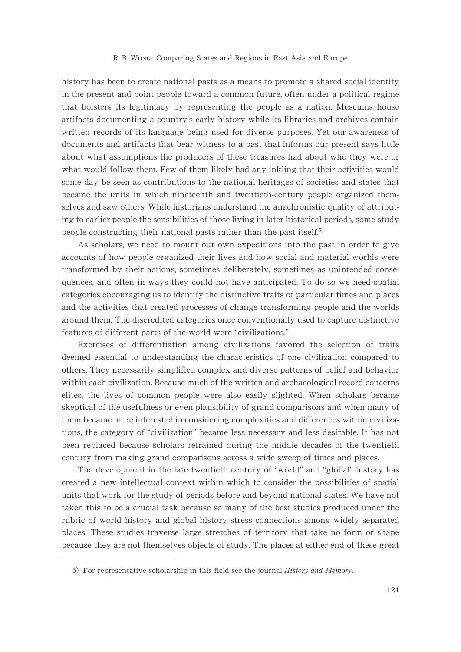history has been to create national pasts as a means to promote a shared social identity in the present and point people toward a common future, often under a political regime that bolsters its legitimacy by representing the people as a nation. Museums house artifacts documenting a country's early history while its libraries and archives contain written records of its language being used for diverse purposes. Yet our awareness of documents and artifacts that bear witness to a past that informs our present says little about what assumptions the producers of these treasures had about who they were or what would follow them. Few of them likely had any inkling that their activities would some day be seen as contributions to the national heritages of societies and states that became the units in which nineteenth and twentieth-century people organized themselves and saw others. While historians understand the anachronistic quality of attributing to earlier people the sensibilities of those living in later historical periods, some study people constructing their national pasts rather than the past itself.<sup>5)</sup>

As scholars, we need to mount our own expeditions into the past in order to give accounts of how people organized their lives and how social and material worlds were transformed by their actions, sometimes deliberately, sometimes as unintended consequences, and often in ways they could not have anticipated. To do so we need spatial categories encouraging us to identify the distinctive traits of particular times and places and the activities that created processes of change transforming people and the worlds around them. The discredited categories once conventionally used to capture distinctive features of different parts of the world were "civilizations."

Exercises of differentiation among civilizations favored the selection of traits deemed essential to understanding the characteristics of one civilization compared to others. They necessarily simplified complex and diverse patterns of belief and behavior within each civilization. Because much of the written and archaeological record concerns elites, the lives of common people were also easily slighted. When scholars became skeptical of the usefulness or even plausibility of grand comparisons and when many of them became more interested in considering complexities and differences within civilizations, the category of "civilization" became less necessary and less desirable. It has not been replaced because scholars refrained during the middle decades of the twentieth century from making grand comparisons across a wide sweep of times and places.

The development in the late twentieth century of "world" and "global" history has created a new intellectual context within which to consider the possibilities of spatial units that work for the study of periods before and beyond national states. We have not taken this to be a crucial task because so many of the best studies produced under the rubric of world history and global history stress connections among widely separated places. These studies traverse large stretches of territory that take no form or shape because they are not themselves objects of study. The places at either end of these great

<sup>5)</sup> For representative scholarship in this field see the journal History and Memory.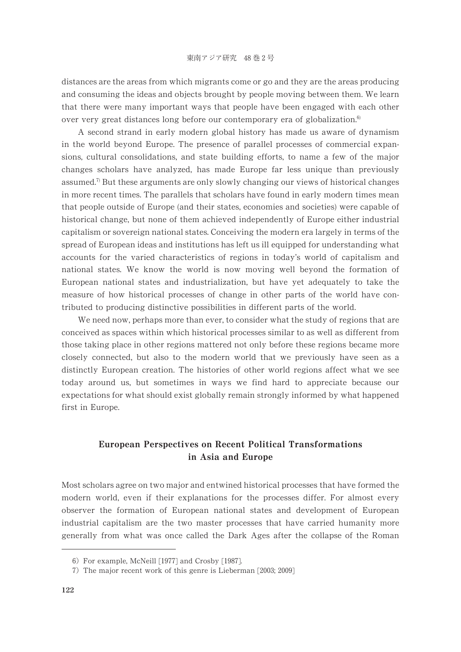distances are the areas from which migrants come or go and they are the areas producing and consuming the ideas and objects brought by people moving between them. We learn that there were many important ways that people have been engaged with each other over very great distances long before our contemporary era of globalization.<sup>6)</sup>

A second strand in early modern global history has made us aware of dynamism in the world beyond Europe. The presence of parallel processes of commercial expansions, cultural consolidations, and state building efforts, to name a few of the major changes scholars have analyzed, has made Europe far less unique than previously assumed.<sup> $7$ </sup> But these arguments are only slowly changing our views of historical changes in more recent times. The parallels that scholars have found in early modern times mean that people outside of Europe (and their states, economies and societies) were capable of historical change, but none of them achieved independently of Europe either industrial capitalism or sovereign national states. Conceiving the modern era largely in terms of the spread of European ideas and institutions has left us ill equipped for understanding what accounts for the varied characteristics of regions in today's world of capitalism and national states. We know the world is now moving well beyond the formation of European national states and industrialization, but have yet adequately to take the measure of how historical processes of change in other parts of the world have contributed to producing distinctive possibilities in different parts of the world.

We need now, perhaps more than ever, to consider what the study of regions that are conceived as spaces within which historical processes similar to as well as different from those taking place in other regions mattered not only before these regions became more closely connected, but also to the modern world that we previously have seen as a distinctly European creation. The histories of other world regions affect what we see today around us, but sometimes in ways we find hard to appreciate because our expectations for what should exist globally remain strongly informed by what happened first in Europe.

# European Perspectives on Recent Political Transformations in Asia and Europe

Most scholars agree on two major and entwined historical processes that have formed the modern world, even if their explanations for the processes differ. For almost every observer the formation of European national states and development of European industrial capitalism are the two master processes that have carried humanity more generally from what was once called the Dark Ages after the collapse of the Roman

<sup>6)</sup> For example, McNeill [1977] and Crosby [1987].

<sup>7)</sup> The major recent work of this genre is Lieberman [2003; 2009]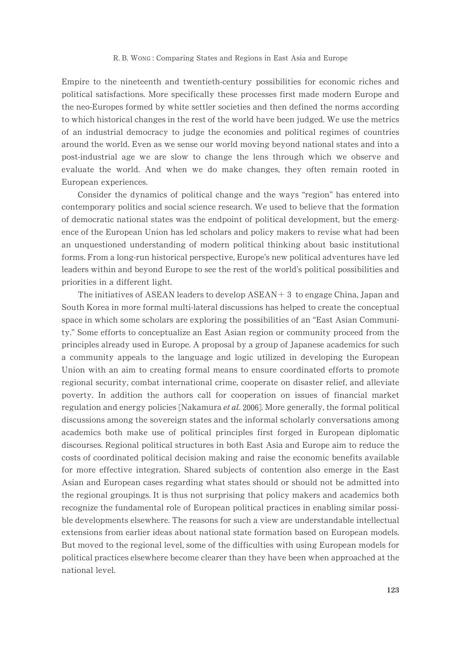Empire to the nineteenth and twentieth-century possibilities for economic riches and political satisfactions. More specifically these processes first made modern Europe and the neo-Europes formed by white settler societies and then defined the norms according to which historical changes in the rest of the world have been judged. We use the metrics of an industrial democracy to judge the economies and political regimes of countries around the world. Even as we sense our world moving beyond national states and into a post-industrial age we are slow to change the lens through which we observe and evaluate the world. And when we do make changes, they often remain rooted in European experiences.

Consider the dynamics of political change and the ways "region" has entered into contemporary politics and social science research. We used to believe that the formation of democratic national states was the endpoint of political development, but the emergence of the European Union has led scholars and policy makers to revise what had been an unquestioned understanding of modern political thinking about basic institutional forms. From a long-run historical perspective, Europe's new political adventures have led leaders within and beyond Europe to see the rest of the world's political possibilities and priorities in a different light.

The initiatives of  $ASEAN$  leaders to develop  $ASEAN + 3$  to engage China, Japan and South Korea in more formal multi-lateral discussions has helped to create the conceptual space in which some scholars are exploring the possibilities of an "East Asian Community." Some efforts to conceptualize an East Asian region or community proceed from the principles already used in Europe. A proposal by a group of Japanese academics for such a community appeals to the language and logic utilized in developing the European Union with an aim to creating formal means to ensure coordinated efforts to promote regional security, combat international crime, cooperate on disaster relief, and alleviate poverty. In addition the authors call for cooperation on issues of financial market regulation and energy policies [Nakamura *et al.* 2006]. More generally, the formal political discussions among the sovereign states and the informal scholarly conversations among academics both make use of political principles first forged in European diplomatic discourses. Regional political structures in both East Asia and Europe aim to reduce the costs of coordinated political decision making and raise the economic benefits available for more effective integration. Shared subjects of contention also emerge in the East Asian and European cases regarding what states should or should not be admitted into the regional groupings. It is thus not surprising that policy makers and academics both recognize the fundamental role of European political practices in enabling similar possible developments elsewhere. The reasons for such a view are understandable intellectual extensions from earlier ideas about national state formation based on European models. But moved to the regional level, some of the difficulties with using European models for political practices elsewhere become clearer than they have been when approached at the national level.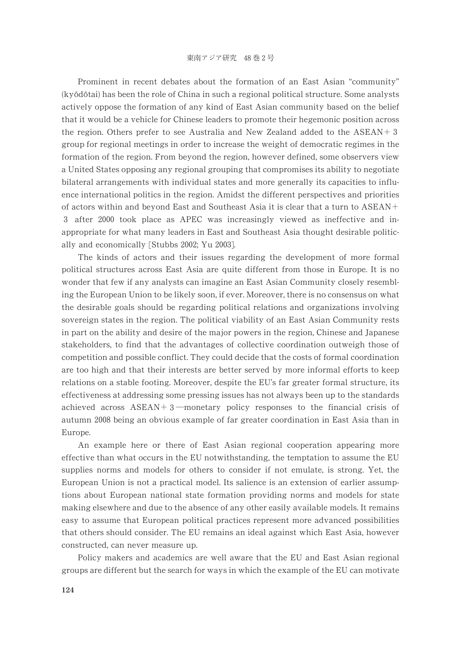Prominent in recent debates about the formation of an East Asian "community" (kyōdōtai) has been the role of China in such a regional political structure. Some analysts actively oppose the formation of any kind of East Asian community based on the belief that it would be a vehicle for Chinese leaders to promote their hegemonic position across the region. Others prefer to see Australia and New Zealand added to the  $ASEAN + 3$ group for regional meetings in order to increase the weight of democratic regimes in the formation of the region. From beyond the region, however defined, some observers view a United States opposing any regional grouping that compromises its ability to negotiate bilateral arrangements with individual states and more generally its capacities to influence international politics in the region. Amidst the different perspectives and priorities of actors within and beyond East and Southeast Asia it is clear that a turn to ASEAN- 3 after 2000 took place as APEC was increasingly viewed as ineffective and inappropriate for what many leaders in East and Southeast Asia thought desirable politically and economically [Stubbs 2002; Yu 2003].

The kinds of actors and their issues regarding the development of more formal political structures across East Asia are quite different from those in Europe. It is no wonder that few if any analysts can imagine an East Asian Community closely resembling the European Union to be likely soon, if ever. Moreover, there is no consensus on what the desirable goals should be regarding political relations and organizations involving sovereign states in the region. The political viability of an East Asian Community rests in part on the ability and desire of the major powers in the region, Chinese and Japanese stakeholders, to find that the advantages of collective coordination outweigh those of competition and possible conflict. They could decide that the costs of formal coordination are too high and that their interests are better served by more informal efforts to keep relations on a stable footing. Moreover, despite the EU's far greater formal structure, its effectiveness at addressing some pressing issues has not always been up to the standards achieved across  $ASEAN + 3$ —monetary policy responses to the financial crisis of autumn 2008 being an obvious example of far greater coordination in East Asia than in Europe.

An example here or there of East Asian regional cooperation appearing more effective than what occurs in the EU notwithstanding, the temptation to assume the EU supplies norms and models for others to consider if not emulate, is strong. Yet, the European Union is not a practical model. Its salience is an extension of earlier assumptions about European national state formation providing norms and models for state making elsewhere and due to the absence of any other easily available models. It remains easy to assume that European political practices represent more advanced possibilities that others should consider. The EU remains an ideal against which East Asia, however constructed, can never measure up.

Policy makers and academics are well aware that the EU and East Asian regional groups are different but the search for ways in which the example of the EU can motivate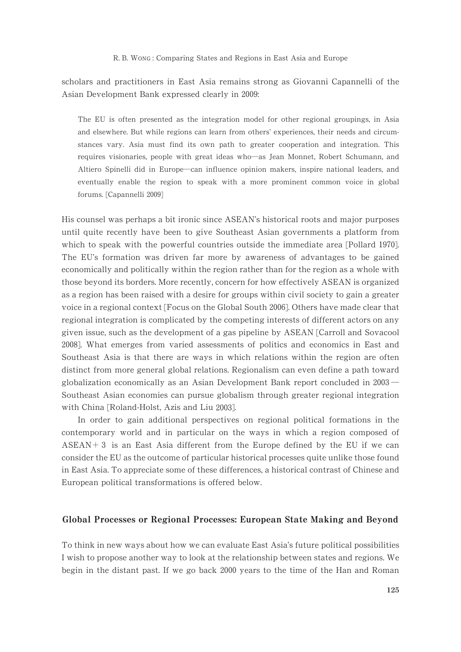scholars and practitioners in East Asia remains strong as Giovanni Capannelli of the Asian Development Bank expressed clearly in 2009:

The EU is often presented as the integration model for other regional groupings, in Asia and elsewhere. But while regions can learn from others' experiences, their needs and circumstances vary. Asia must find its own path to greater cooperation and integration. This requires visionaries, people with great ideas who-as Jean Monnet, Robert Schumann, and Altiero Spinelli did in Europe-can influence opinion makers, inspire national leaders, and eventually enable the region to speak with a more prominent common voice in global forums. [Capannelli 2009]

His counsel was perhaps a bit ironic since ASEAN's historical roots and major purposes until quite recently have been to give Southeast Asian governments a platform from which to speak with the powerful countries outside the immediate area [Pollard 1970]. The EU's formation was driven far more by awareness of advantages to be gained economically and politically within the region rather than for the region as a whole with those beyond its borders. More recently, concern for how effectively ASEAN is organized as a region has been raised with a desire for groups within civil society to gain a greater voice in a regional context [Focus on the Global South 2006]. Others have made clear that regional integration is complicated by the competing interests of different actors on any given issue, such as the development of a gas pipeline by ASEAN [Carroll and Sovacool -]. What emerges from varied assessments of politics and economics in East and Southeast Asia is that there are ways in which relations within the region are often distinct from more general global relations. Regionalism can even define a path toward globalization economically as an Asian Development Bank report concluded in  $2003$   $-$ Southeast Asian economies can pursue globalism through greater regional integration with China [Roland-Holst, Azis and Liu 2003].

In order to gain additional perspectives on regional political formations in the contemporary world and in particular on the ways in which a region composed of  $ASEAN+3$  is an East Asia different from the Europe defined by the EU if we can consider the EU as the outcome of particular historical processes quite unlike those found in East Asia. To appreciate some of these differences, a historical contrast of Chinese and European political transformations is offered below.

# Global Processes or Regional Processes: European State Making and Beyond

To think in new ways about how we can evaluate East Asia's future political possibilities I wish to propose another way to look at the relationship between states and regions. We begin in the distant past. If we go back 2000 years to the time of the Han and Roman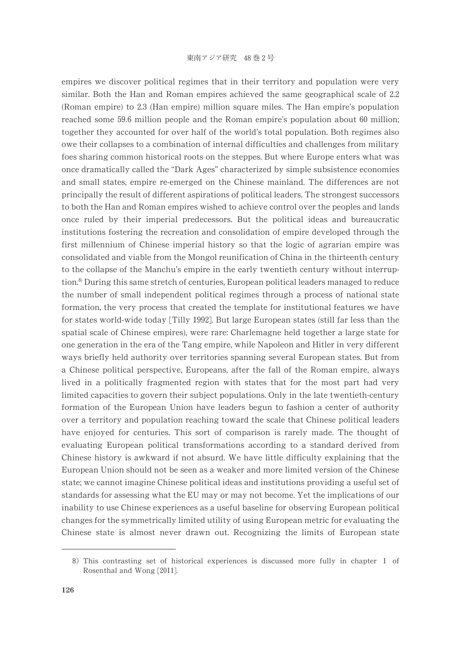empires we discover political regimes that in their territory and population were very  $s$ imilar. Both the Han and Roman empires achieved the same geographical scale of 2.2 (Roman empire) to 2.3 (Han empire) million square miles. The Han empire's population reached some 59.6 million people and the Roman empire's population about 60 million; together they accounted for over half of the world's total population. Both regimes also owe their collapses to a combination of internal difficulties and challenges from military foes sharing common historical roots on the steppes. But where Europe enters what was once dramatically called the "Dark Ages" characterized by simple subsistence economies and small states, empire re-emerged on the Chinese mainland. The differences are not principally the result of different aspirations of political leaders. The strongest successors to both the Han and Roman empires wished to achieve control over the peoples and lands once ruled by their imperial predecessors. But the political ideas and bureaucratic institutions fostering the recreation and consolidation of empire developed through the first millennium of Chinese imperial history so that the logic of agrarian empire was consolidated and viable from the Mongol reunification of China in the thirteenth century to the collapse of the Manchu's empire in the early twentieth century without interruption.<sup>8</sup> During this same stretch of centuries, European political leaders managed to reduce the number of small independent political regimes through a process of national state formation, the very process that created the template for institutional features we have for states world-wide today [Tilly 1992]. But large European states (still far less than the spatial scale of Chinese empires), were rare: Charlemagne held together a large state for one generation in the era of the Tang empire, while Napoleon and Hitler in very different ways briefly held authority over territories spanning several European states. But from a Chinese political perspective, Europeans, after the fall of the Roman empire, always lived in a politically fragmented region with states that for the most part had very limited capacities to govern their subject populations. Only in the late twentieth-century formation of the European Union have leaders begun to fashion a center of authority over a territory and population reaching toward the scale that Chinese political leaders have enjoyed for centuries. This sort of comparison is rarely made. The thought of evaluating European political transformations according to a standard derived from Chinese history is awkward if not absurd. We have little difficulty explaining that the European Union should not be seen as a weaker and more limited version of the Chinese state; we cannot imagine Chinese political ideas and institutions providing a useful set of standards for assessing what the EU may or may not become. Yet the implications of our inability to use Chinese experiences as a useful baseline for observing European political changes for the symmetrically limited utility of using European metric for evaluating the Chinese state is almost never drawn out. Recognizing the limits of European state

<sup>8)</sup> This contrasting set of historical experiences is discussed more fully in chapter 1 of Rosenthal and Wong [2011].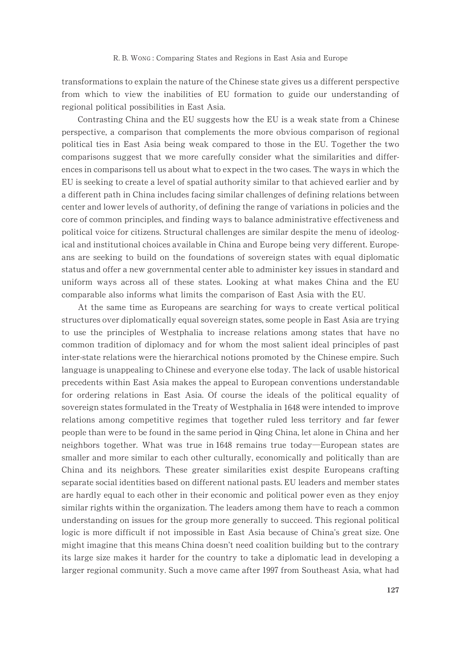transformations to explain the nature of the Chinese state gives us a different perspective from which to view the inabilities of EU formation to guide our understanding of regional political possibilities in East Asia.

Contrasting China and the EU suggests how the EU is a weak state from a Chinese perspective, a comparison that complements the more obvious comparison of regional political ties in East Asia being weak compared to those in the EU. Together the two comparisons suggest that we more carefully consider what the similarities and differences in comparisons tell us about what to expect in the two cases. The ways in which the EU is seeking to create a level of spatial authority similar to that achieved earlier and by a different path in China includes facing similar challenges of defining relations between center and lower levels of authority, of defining the range of variations in policies and the core of common principles, and finding ways to balance administrative effectiveness and political voice for citizens. Structural challenges are similar despite the menu of ideological and institutional choices available in China and Europe being very different. Europeans are seeking to build on the foundations of sovereign states with equal diplomatic status and offer a new governmental center able to administer key issues in standard and uniform ways across all of these states. Looking at what makes China and the EU comparable also informs what limits the comparison of East Asia with the EU.

At the same time as Europeans are searching for ways to create vertical political structures over diplomatically equal sovereign states, some people in East Asia are trying to use the principles of Westphalia to increase relations among states that have no common tradition of diplomacy and for whom the most salient ideal principles of past inter-state relations were the hierarchical notions promoted by the Chinese empire. Such language is unappealing to Chinese and everyone else today. The lack of usable historical precedents within East Asia makes the appeal to European conventions understandable for ordering relations in East Asia. Of course the ideals of the political equality of sovereign states formulated in the Treaty of Westphalia in 1648 were intended to improve relations among competitive regimes that together ruled less territory and far fewer people than were to be found in the same period in Qing China, let alone in China and her neighbors together. What was true in 1648 remains true today—European states are smaller and more similar to each other culturally, economically and politically than are China and its neighbors. These greater similarities exist despite Europeans crafting separate social identities based on different national pasts. EU leaders and member states are hardly equal to each other in their economic and political power even as they enjoy similar rights within the organization. The leaders among them have to reach a common understanding on issues for the group more generally to succeed. This regional political logic is more difficult if not impossible in East Asia because of China's great size. One might imagine that this means China doesn't need coalition building but to the contrary its large size makes it harder for the country to take a diplomatic lead in developing a larger regional community. Such a move came after 1997 from Southeast Asia, what had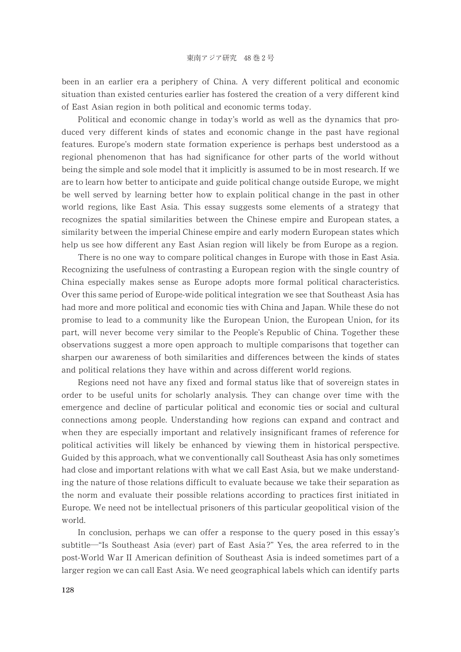been in an earlier era a periphery of China. A very different political and economic situation than existed centuries earlier has fostered the creation of a very different kind of East Asian region in both political and economic terms today.

Political and economic change in today's world as well as the dynamics that produced very different kinds of states and economic change in the past have regional features. Europe's modern state formation experience is perhaps best understood as a regional phenomenon that has had significance for other parts of the world without being the simple and sole model that it implicitly is assumed to be in most research. If we are to learn how better to anticipate and guide political change outside Europe, we might be well served by learning better how to explain political change in the past in other world regions, like East Asia. This essay suggests some elements of a strategy that recognizes the spatial similarities between the Chinese empire and European states, a similarity between the imperial Chinese empire and early modern European states which help us see how different any East Asian region will likely be from Europe as a region.

There is no one way to compare political changes in Europe with those in East Asia. Recognizing the usefulness of contrasting a European region with the single country of China especially makes sense as Europe adopts more formal political characteristics. Over this same period of Europe-wide political integration we see that Southeast Asia has had more and more political and economic ties with China and Japan. While these do not promise to lead to a community like the European Union, the European Union, for its part, will never become very similar to the People's Republic of China. Together these observations suggest a more open approach to multiple comparisons that together can sharpen our awareness of both similarities and differences between the kinds of states and political relations they have within and across different world regions.

Regions need not have any fixed and formal status like that of sovereign states in order to be useful units for scholarly analysis. They can change over time with the emergence and decline of particular political and economic ties or social and cultural connections among people. Understanding how regions can expand and contract and when they are especially important and relatively insignificant frames of reference for political activities will likely be enhanced by viewing them in historical perspective. Guided by this approach, what we conventionally call Southeast Asia has only sometimes had close and important relations with what we call East Asia, but we make understanding the nature of those relations difficult to evaluate because we take their separation as the norm and evaluate their possible relations according to practices first initiated in Europe. We need not be intellectual prisoners of this particular geopolitical vision of the world.

In conclusion, perhaps we can offer a response to the query posed in this essay's subtitle-"Is Southeast Asia (ever) part of East Asia ?" Yes, the area referred to in the post-World War II American definition of Southeast Asia is indeed sometimes part of a larger region we can call East Asia. We need geographical labels which can identify parts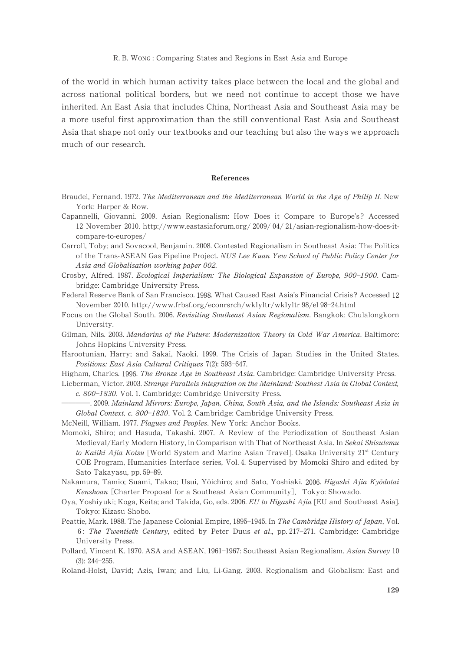of the world in which human activity takes place between the local and the global and across national political borders, but we need not continue to accept those we have inherited. An East Asia that includes China, Northeast Asia and Southeast Asia may be a more useful first approximation than the still conventional East Asia and Southeast Asia that shape not only our textbooks and our teaching but also the ways we approach much of our research.

### References

- Braudel, Fernand. 1972. The Mediterranean and the Mediterranean World in the Age of Philip II. New York: Harper & Row.
- Capannelli, Giovanni. 2009. Asian Regionalism: How Does it Compare to Europe's? Accessed 12 November 2010. http://www.eastasiaforum.org/ 2009/ 04/ 21/asian-regionalism-how-does-itcompare-to-europes/
- Carroll, Toby; and Sovacool, Benjamin. 2008. Contested Regionalism in Southeast Asia: The Politics of the Trans-ASEAN Gas Pipeline Project. NUS Lee Kuan Yew School of Public Policy Center for Asia and Globalisation working paper 002.
- Crosby, Alfred. 1987. Ecological Imperialism: The Biological Expansion of Europe, 900-1900. Cambridge: Cambridge University Press.
- Federal Reserve Bank of San Francisco. 1998. What Caused East Asia's Financial Crisis? Accessed 12 November 2010. http://www.frbsf.org/econrsrch/wklyltr/wklyltr 98/el 98-24.html
- Focus on the Global South. 2006. Revisiting Southeast Asian Regionalism. Bangkok: Chulalongkorn University.
- Gilman, Nils. 2003. Mandarins of the Future: Modernization Theory in Cold War America. Baltimore: Johns Hopkins University Press.
- Harootunian, Harry; and Sakai, Naoki. 1999. The Crisis of Japan Studies in the United States. Positions: East Asia Cultural Critiques 7(2): 593-647.
- Higham, Charles. 1996. The Bronze Age in Southeast Asia. Cambridge: Cambridge University Press.
- Lieberman, Victor. 2003. Strange Parallels Integration on the Mainland: Southest Asia in Global Context, c. 800-1830. Vol. 1. Cambridge: Cambridge University Press.
	- . 2009. Mainland Mirrors: Europe, Japan, China, South Asia, and the Islands: Southeast Asia in Global Context, c. 800-1830. Vol. 2. Cambridge: Cambridge University Press.
- McNeill, William. 1977. Plagues and Peoples. New York: Anchor Books.
- Momoki, Shiro; and Hasuda, Takashi. 2007. A Review of the Periodization of Southeast Asian Medieval/Early Modern History, in Comparison with That of Northeast Asia. In Sekai Shisutemu to Kaiiki Ajia Kotsu [World System and Marine Asian Travel]. Osaka University 21st Century COE Program, Humanities Interface series, Vol. 4. Supervised by Momoki Shiro and edited by Sato Takayasu, pp. 59-89.
- Nakamura, Tamio; Suami, Takao; Usui, Yōichiro; and Sato, Yoshiaki. 2006. Higashi Ajia Kyōdotai Kenshoan [Charter Proposal for a Southeast Asian Community]. Tokyo: Showado.
- Oya, Yoshiyuki; Koga, Keita; and Takida, Go, eds. 2006. EU to Higashi Ajia [EU and Southeast Asia]. Tokyo: Kizasu Shobo.
- Peattie, Mark. 1988. The Japanese Colonial Empire, 1895–1945. In The Cambridge History of Japan, Vol. 6: The Twentieth Century, edited by Peter Duus et al., pp. 217–271. Cambridge: Cambridge University Press.
- Pollard, Vincent K. 1970. ASA and ASEAN, 1961-1967: Southeast Asian Regionalism. Asian Survey 10  $(3)$ : 244-255.
- Roland-Holst, David; Azis, Iwan; and Liu, Li-Gang. 2003. Regionalism and Globalism: East and